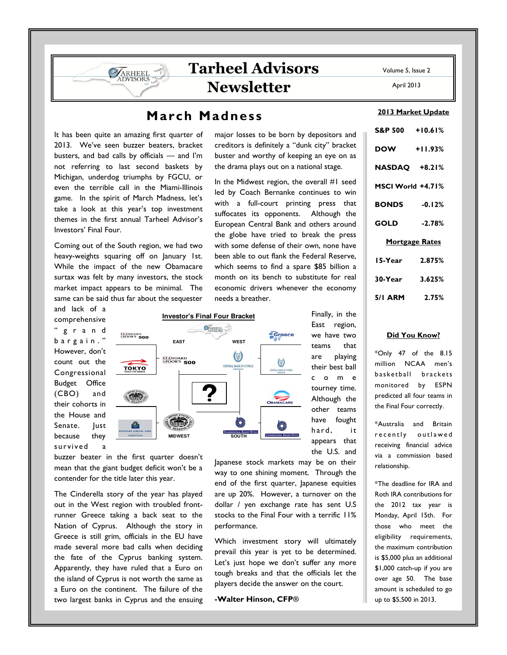# Tarheel Advisors Newsletter

## March Madness

It has been quite an amazing first quarter of 2013. We've seen buzzer beaters, bracket busters, and bad calls by officials — and I'm not referring to last second baskets by Michigan, underdog triumphs by FGCU, or even the terrible call in the Miami-Illinois game. In the spirit of March Madness, let's take a look at this year's top investment themes in the first annual Tarheel Advisor's Investors' Final Four.

ARHEEL

Coming out of the South region, we had two heavy-weights squaring off on January 1st. While the impact of the new Obamacare surtax was felt by many investors, the stock market impact appears to be minimal. The same can be said thus far about the sequester

and lack of a comprehensive " g r a n d b a r g a i n . " However, don't count out the Congressional Budget Office (CBO) and their cohorts in the House and Senate. lust because they survived a



buzzer beater in the first quarter doesn't mean that the giant budget deficit won't be a contender for the title later this year.

The Cinderella story of the year has played out in the West region with troubled frontrunner Greece taking a back seat to the Nation of Cyprus. Although the story in Greece is still grim, officials in the EU have made several more bad calls when deciding the fate of the Cyprus banking system. Apparently, they have ruled that a Euro on the island of Cyprus is not worth the same as a Euro on the continent. The failure of the two largest banks in Cyprus and the ensuing major losses to be born by depositors and creditors is definitely a "dunk city" bracket buster and worthy of keeping an eye on as the drama plays out on a national stage.

In the Midwest region, the overall #1 seed led by Coach Bernanke continues to win with a full-court printing press that suffocates its opponents. Although the European Central Bank and others around the globe have tried to break the press with some defense of their own, none have been able to out flank the Federal Reserve, which seems to find a spare \$85 billion a month on its bench to substitute for real economic drivers whenever the economy needs a breather.

> East region, we have two teams that are playing their best ball c o m e tourney time. Although the other teams have fought hard, it appears that the U.S. and

Japanese stock markets may be on their way to one shining moment. Through the end of the first quarter, Japanese equities are up 20%. However, a turnover on the dollar / yen exchange rate has sent U.S stocks to the Final Four with a terrific 11% performance.

Which investment story will ultimately prevail this year is yet to be determined. Let's just hope we don't suffer any more tough breaks and that the officials let the players decide the answer on the court.

-Walter Hinson, CFP**®**

Volume 5, Issue 2

April 2013

## 2013 Market Update

| S&P 500 +10.61%       |           |
|-----------------------|-----------|
| <b>DOW</b>            | $+11.93%$ |
| <b>NASDAQ +8.21%</b>  |           |
| MSCI World +4.71%     |           |
| <b>BONDS</b> -0.12%   |           |
| <b>GOLD</b>           | $-2.78%$  |
| <b>Mortgage Rates</b> |           |
| 15-Year               | 2.875%    |
| 30-Year               | 3.625%    |
| 5/1 ARM 2.75%         |           |

### Did You Know?

\*Only 47 of the 8.15 million NCAA men's basketball brackets monitored by ESPN predicted all four teams in the Final Four correctly.

\*Australia and Britain recently outlawed receiving financial advice via a commission based relationship.

\*The deadline for IRA and Roth IRA contributions for the 2012 tax year is Monday, April 15th. For those who meet the eligibility requirements, the maximum contribution is \$5,000 plus an additional \$1,000 catch-up if you are over age 50. The base amount is scheduled to go up to \$5,500 in 2013.